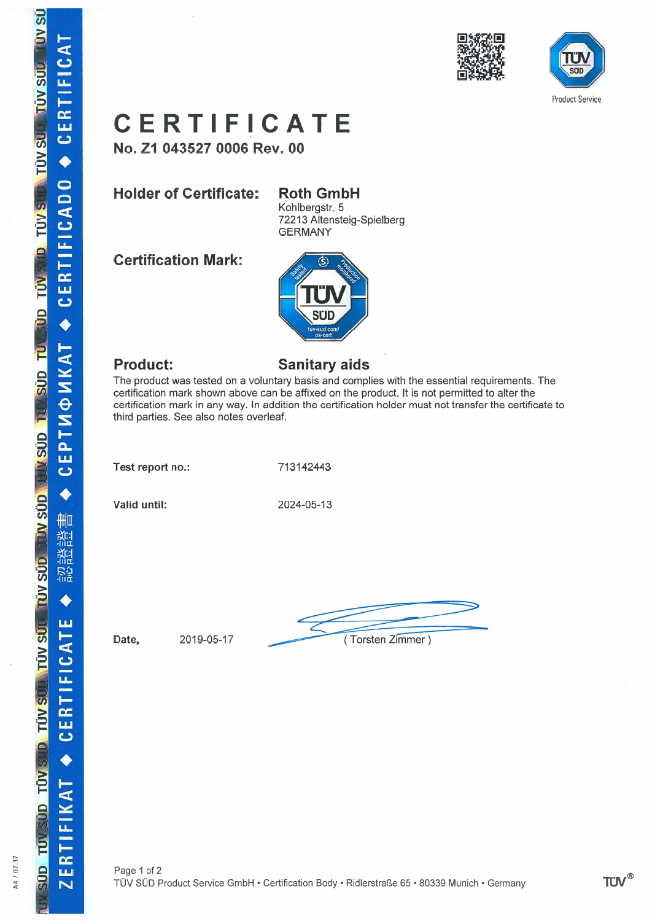



# c E RTI F ICATE

No. Z1 043527 0006 Rev. 00

## Holder of Certificate: Roth

# **Roth GmbH**

Kohlbergstr. 5 72213 Altensteig-Spielberg GERMANY

Certification Mark:



### Product:

 $\vec{q}$ 

**TUY SUP TUY SUP** 

**SALL OF SALL CLUS** 

**SUD TU** 

T QUS VOT DVS VUT

**TÜV SÜD** 

**US VQL** 

**TUVS** 

**TÚV** 

P

A4 / 07.17

ä

ū

 $\alpha$ ய  $\mathbf c$ 

 $\bullet$ 

 $\frac{1}{4}$  $\overline{c}$  $\overline{\mathbf{u}}$ 

**CERTI** 

TNONKAT

i<br>Li ပ

€

書 쯓 籠

**京合** 

ш

H  $\mathbf C$ ū

in<br>ER  $\overline{\mathbf{C}}$ 

 $\blacktriangleleft$ 

#### Sanitary aids

The product was tested an <sup>a</sup> voluntary basis and complies with the essential requirements. The certification mark shown above can be affixed an the product. lt is not permitted to alter the certification mark in any way. In addition the certification haider must not transfer the certificate to third parties. See also notes overleaf.

Test repor<sup>t</sup> no.: 713142443

Valid until:

until: 2024-05-13

 $Date,$  2019-05-17 (Torsten Zimmer)